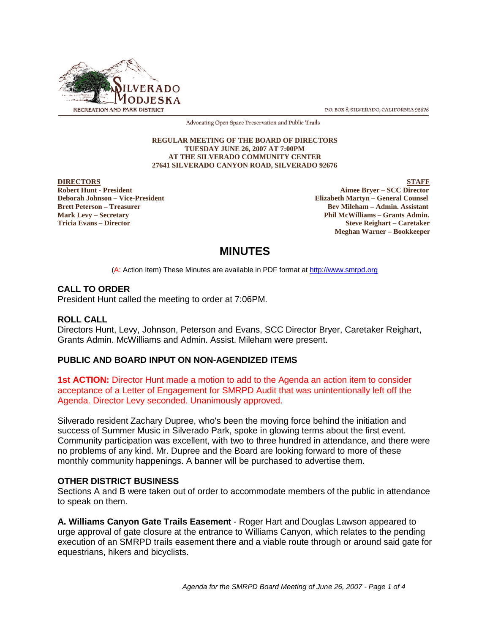

P.O. BOX 8. SILVERADO, CALIFORNIA 92676

Advocating Open Space Preservation and Public Trails

#### **REGULAR MEETING OF THE BOARD OF DIRECTORS TUESDAY JUNE 26, 2007 AT 7:00PM AT THE SILVERADO COMMUNITY CENTER 27641 SILVERADO CANYON ROAD, SILVERADO 92676**

**DIRECTORS** STAFF

**Robert Hunt - President Aimee Bryer – SCC Director Deborah Johnson – Vice-President Elizabeth Martyn – General Counsel Brett Peterson – Treasurer Bev Mileham – Admin. Assistant Mark Levy – Secretary Phil McWilliams – Grants Admin. Tricia Evans – Director Steve Reighart – Caretaker Meghan Warner – Bookkeeper**

# **MINUTES**

(A: Action Item) These Minutes are available in PDF format at http://www.smrpd.org

# **CALL TO ORDER**

President Hunt called the meeting to order at 7:06PM.

# **ROLL CALL**

Directors Hunt, Levy, Johnson, Peterson and Evans, SCC Director Bryer, Caretaker Reighart, Grants Admin. McWilliams and Admin. Assist. Mileham were present.

# **PUBLIC AND BOARD INPUT ON NON-AGENDIZED ITEMS**

**1st ACTION:** Director Hunt made a motion to add to the Agenda an action item to consider acceptance of a Letter of Engagement for SMRPD Audit that was unintentionally left off the Agenda. Director Levy seconded. Unanimously approved.

Silverado resident Zachary Dupree, who's been the moving force behind the initiation and success of Summer Music in Silverado Park, spoke in glowing terms about the first event. Community participation was excellent, with two to three hundred in attendance, and there were no problems of any kind. Mr. Dupree and the Board are looking forward to more of these monthly community happenings. A banner will be purchased to advertise them.

# **OTHER DISTRICT BUSINESS**

Sections A and B were taken out of order to accommodate members of the public in attendance to speak on them.

**A. Williams Canyon Gate Trails Easement** - Roger Hart and Douglas Lawson appeared to urge approval of gate closure at the entrance to Williams Canyon, which relates to the pending execution of an SMRPD trails easement there and a viable route through or around said gate for equestrians, hikers and bicyclists.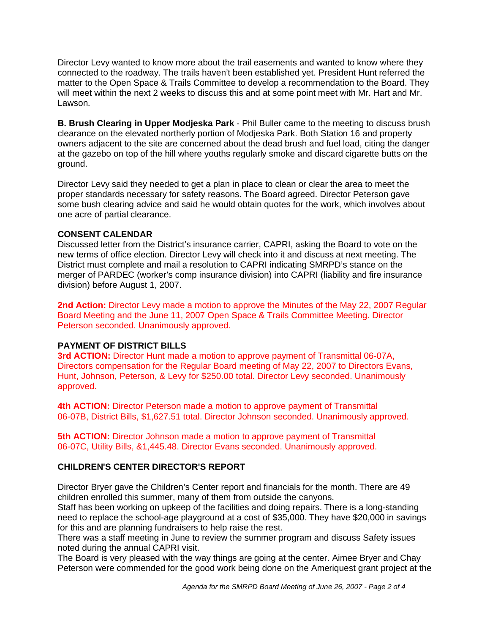Director Levy wanted to know more about the trail easements and wanted to know where they connected to the roadway. The trails haven't been established yet. President Hunt referred the matter to the Open Space & Trails Committee to develop a recommendation to the Board. They will meet within the next 2 weeks to discuss this and at some point meet with Mr. Hart and Mr. Lawson.

**B. Brush Clearing in Upper Modjeska Park** - Phil Buller came to the meeting to discuss brush clearance on the elevated northerly portion of Modjeska Park. Both Station 16 and property owners adjacent to the site are concerned about the dead brush and fuel load, citing the danger at the gazebo on top of the hill where youths regularly smoke and discard cigarette butts on the ground.

Director Levy said they needed to get a plan in place to clean or clear the area to meet the proper standards necessary for safety reasons. The Board agreed. Director Peterson gave some bush clearing advice and said he would obtain quotes for the work, which involves about one acre of partial clearance.

# **CONSENT CALENDAR**

Discussed letter from the District's insurance carrier, CAPRI, asking the Board to vote on the new terms of office election. Director Levy will check into it and discuss at next meeting. The District must complete and mail a resolution to CAPRI indicating SMRPD's stance on the merger of PARDEC (worker's comp insurance division) into CAPRI (liability and fire insurance division) before August 1, 2007.

**2nd Action:** Director Levy made a motion to approve the Minutes of the May 22, 2007 Regular Board Meeting and the June 11, 2007 Open Space & Trails Committee Meeting. Director Peterson seconded. Unanimously approved.

# **PAYMENT OF DISTRICT BILLS**

**3rd ACTION:** Director Hunt made a motion to approve payment of Transmittal 06-07A, Directors compensation for the Regular Board meeting of May 22, 2007 to Directors Evans, Hunt, Johnson, Peterson, & Levy for \$250.00 total. Director Levy seconded. Unanimously approved.

**4th ACTION:** Director Peterson made a motion to approve payment of Transmittal 06-07B, District Bills, \$1,627.51 total. Director Johnson seconded. Unanimously approved.

**5th ACTION:** Director Johnson made a motion to approve payment of Transmittal 06-07C, Utility Bills, &1,445.48. Director Evans seconded. Unanimously approved.

# **CHILDREN'S CENTER DIRECTOR'S REPORT**

Director Bryer gave the Children's Center report and financials for the month. There are 49 children enrolled this summer, many of them from outside the canyons.

Staff has been working on upkeep of the facilities and doing repairs. There is a long-standing need to replace the school-age playground at a cost of \$35,000. They have \$20,000 in savings for this and are planning fundraisers to help raise the rest.

There was a staff meeting in June to review the summer program and discuss Safety issues noted during the annual CAPRI visit.

The Board is very pleased with the way things are going at the center. Aimee Bryer and Chay Peterson were commended for the good work being done on the Ameriquest grant project at the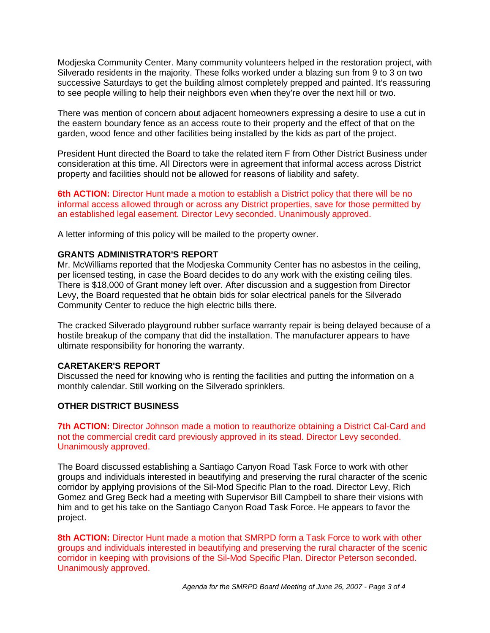Modjeska Community Center. Many community volunteers helped in the restoration project, with Silverado residents in the majority. These folks worked under a blazing sun from 9 to 3 on two successive Saturdays to get the building almost completely prepped and painted. It's reassuring to see people willing to help their neighbors even when they're over the next hill or two.

There was mention of concern about adjacent homeowners expressing a desire to use a cut in the eastern boundary fence as an access route to their property and the effect of that on the garden, wood fence and other facilities being installed by the kids as part of the project.

President Hunt directed the Board to take the related item F from Other District Business under consideration at this time. All Directors were in agreement that informal access across District property and facilities should not be allowed for reasons of liability and safety.

**6th ACTION:** Director Hunt made a motion to establish a District policy that there will be no informal access allowed through or across any District properties, save for those permitted by an established legal easement. Director Levy seconded. Unanimously approved.

A letter informing of this policy will be mailed to the property owner.

# **GRANTS ADMINISTRATOR'S REPORT**

Mr. McWilliams reported that the Modjeska Community Center has no asbestos in the ceiling, per licensed testing, in case the Board decides to do any work with the existing ceiling tiles. There is \$18,000 of Grant money left over. After discussion and a suggestion from Director Levy, the Board requested that he obtain bids for solar electrical panels for the Silverado Community Center to reduce the high electric bills there.

The cracked Silverado playground rubber surface warranty repair is being delayed because of a hostile breakup of the company that did the installation. The manufacturer appears to have ultimate responsibility for honoring the warranty.

# **CARETAKER'S REPORT**

Discussed the need for knowing who is renting the facilities and putting the information on a monthly calendar. Still working on the Silverado sprinklers.

# **OTHER DISTRICT BUSINESS**

**7th ACTION:** Director Johnson made a motion to reauthorize obtaining a District Cal-Card and not the commercial credit card previously approved in its stead. Director Levy seconded. Unanimously approved.

The Board discussed establishing a Santiago Canyon Road Task Force to work with other groups and individuals interested in beautifying and preserving the rural character of the scenic corridor by applying provisions of the Sil-Mod Specific Plan to the road. Director Levy, Rich Gomez and Greg Beck had a meeting with Supervisor Bill Campbell to share their visions with him and to get his take on the Santiago Canyon Road Task Force. He appears to favor the project.

**8th ACTION:** Director Hunt made a motion that SMRPD form a Task Force to work with other groups and individuals interested in beautifying and preserving the rural character of the scenic corridor in keeping with provisions of the Sil-Mod Specific Plan. Director Peterson seconded. Unanimously approved.